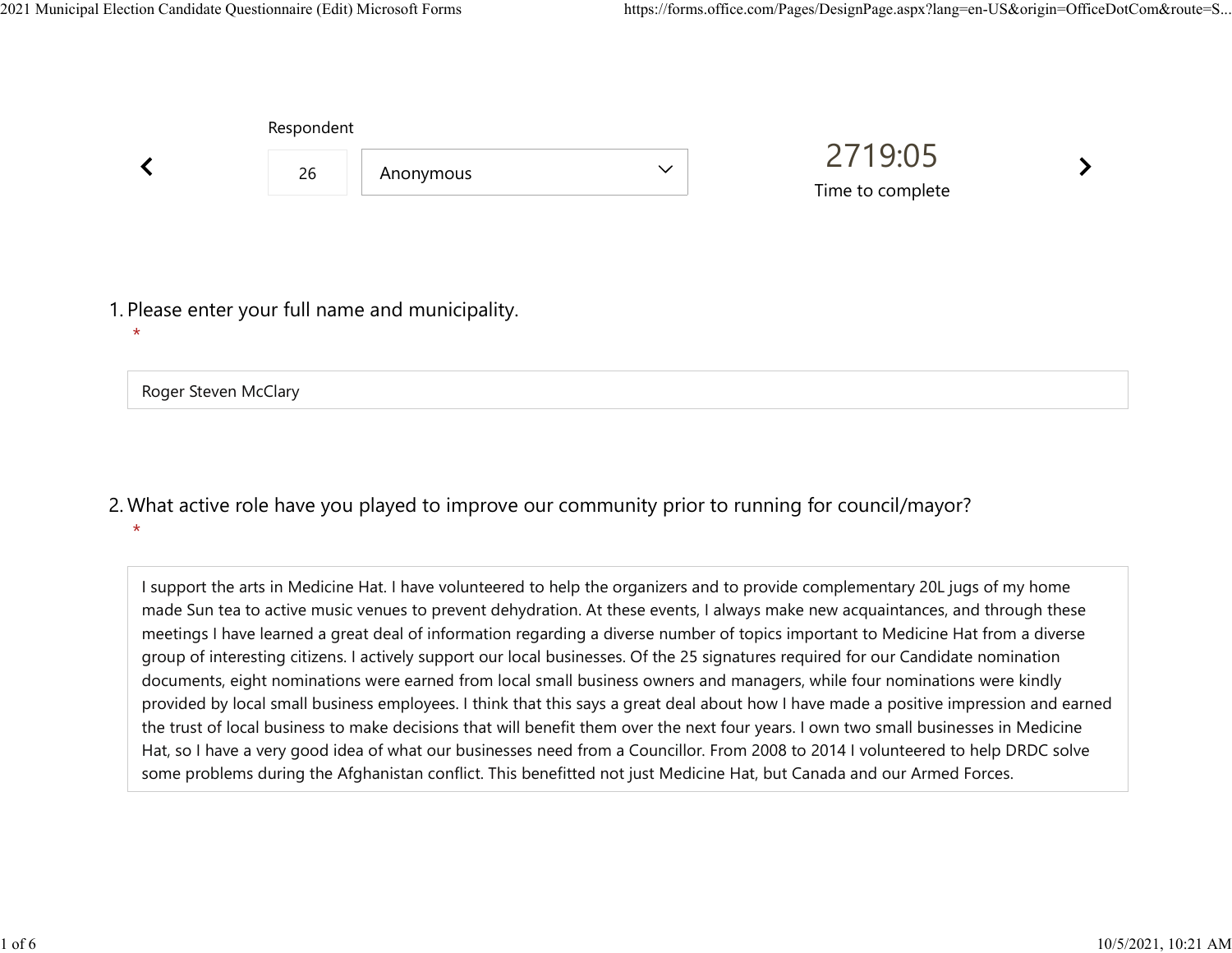|         | Respondent           |                                                  |              |                             |  |  |
|---------|----------------------|--------------------------------------------------|--------------|-----------------------------|--|--|
|         | 26                   | Anonymous                                        | $\checkmark$ | 2719:05<br>Time to complete |  |  |
| $\star$ |                      | 1. Please enter your full name and municipality. |              |                             |  |  |
|         | Roger Steven McClary |                                                  |              |                             |  |  |

What active role have you played to improve our community prior to running for council/mayor? 2. \*

I support the arts in Medicine Hat. I have volunteered to help the organizers and to provide complementary 20L jugs of my home made Sun tea to active music venues to prevent dehydration. At these events, I always make new acquaintances, and through these meetings I have learned a great deal of information regarding a diverse number of topics important to Medicine Hat from a diverse group of interesting citizens. I actively support our local businesses. Of the 25 signatures required for our Candidate nomination documents, eight nominations were earned from local small business owners and managers, while four nominations were kindly provided by local small business employees. I think that this says a great deal about how I have made a positive impression and earned the trust of local business to make decisions that will benefit them over the next four years. I own two small businesses in Medicine Hat, so I have a very good idea of what our businesses need from a Councillor. From 2008 to 2014 I volunteered to help DRDC solve some problems during the Afghanistan conflict. This benefitted not just Medicine Hat, but Canada and our Armed Forces.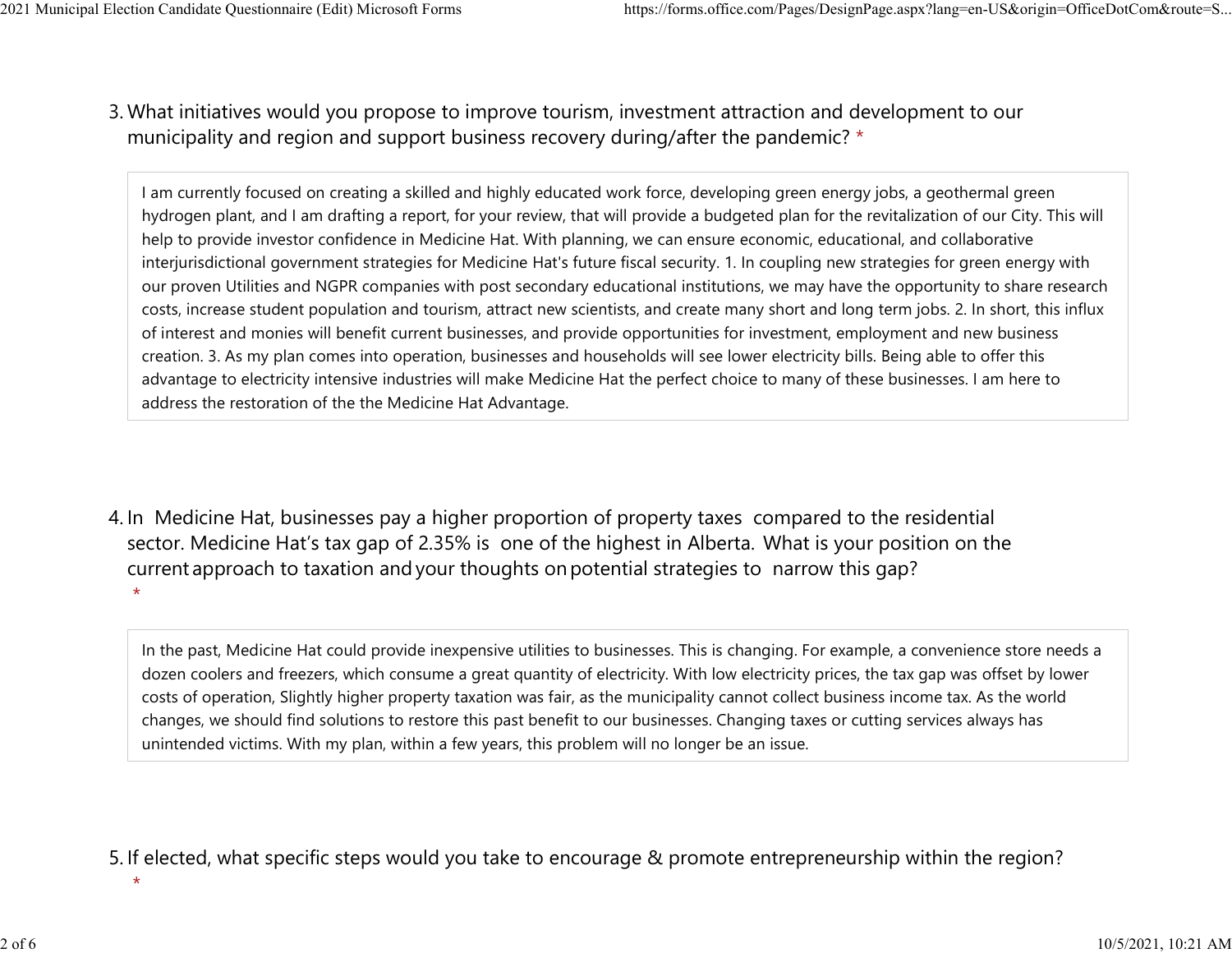## What initiatives would you propose to improve tourism, investment attraction and development to our 3. municipality and region and support business recovery during/after the pandemic? \* 2021 Municipal Election Candidate Questionnaire (Edit) Microsoft Forms https://forms.office.com/Pages/DesignPage.aspx?lang=en-US&origin=OfficeDotCom&route=S...<br>2 Mhat initiatives would you propose to improve tourism invest

I am currently focused on creating a skilled and highly educated work force, developing green energy jobs, a geothermal green hydrogen plant, and I am drafting a report, for your review, that will provide a budgeted plan for the revitalization of our City. This will help to provide investor confidence in Medicine Hat. With planning, we can ensure economic, educational, and collaborative interjurisdictional government strategies for Medicine Hat's future fiscal security. 1. In coupling new strategies for green energy with our proven Utilities and NGPR companies with post secondary educational institutions, we may have the opportunity to share research costs, increase student population and tourism, attract new scientists, and create many short and long term jobs. 2. In short, this influx of interest and monies will benefit current businesses, and provide opportunities for investment, employment and new business creation. 3. As my plan comes into operation, businesses and households will see lower electricity bills. Being able to offer this advantage to electricity intensive industries will make Medicine Hat the perfect choice to many of these businesses. I am here to address the restoration of the the Medicine Hat Advantage.

4. In Medicine Hat, businesses pay a higher proportion of property taxes compared to the residential sector.  Medicine Hat's tax gap of 2.35% is one of the highest in Alberta.  What is your position on the current approach to taxation and your thoughts on potential strategies to narrow this gap? \*

In the past, Medicine Hat could provide inexpensive utilities to businesses. This is changing. For example, a convenience store needs a dozen coolers and freezers, which consume a great quantity of electricity. With low electricity prices, the tax gap was offset by lower costs of operation, Slightly higher property taxation was fair, as the municipality cannot collect business income tax. As the world changes, we should find solutions to restore this past benefit to our businesses. Changing taxes or cutting services always has unintended victims. With my plan, within a few years, this problem will no longer be an issue.

## 5. If elected, what specific steps would you take to encourage & promote entrepreneurship within the region?

\*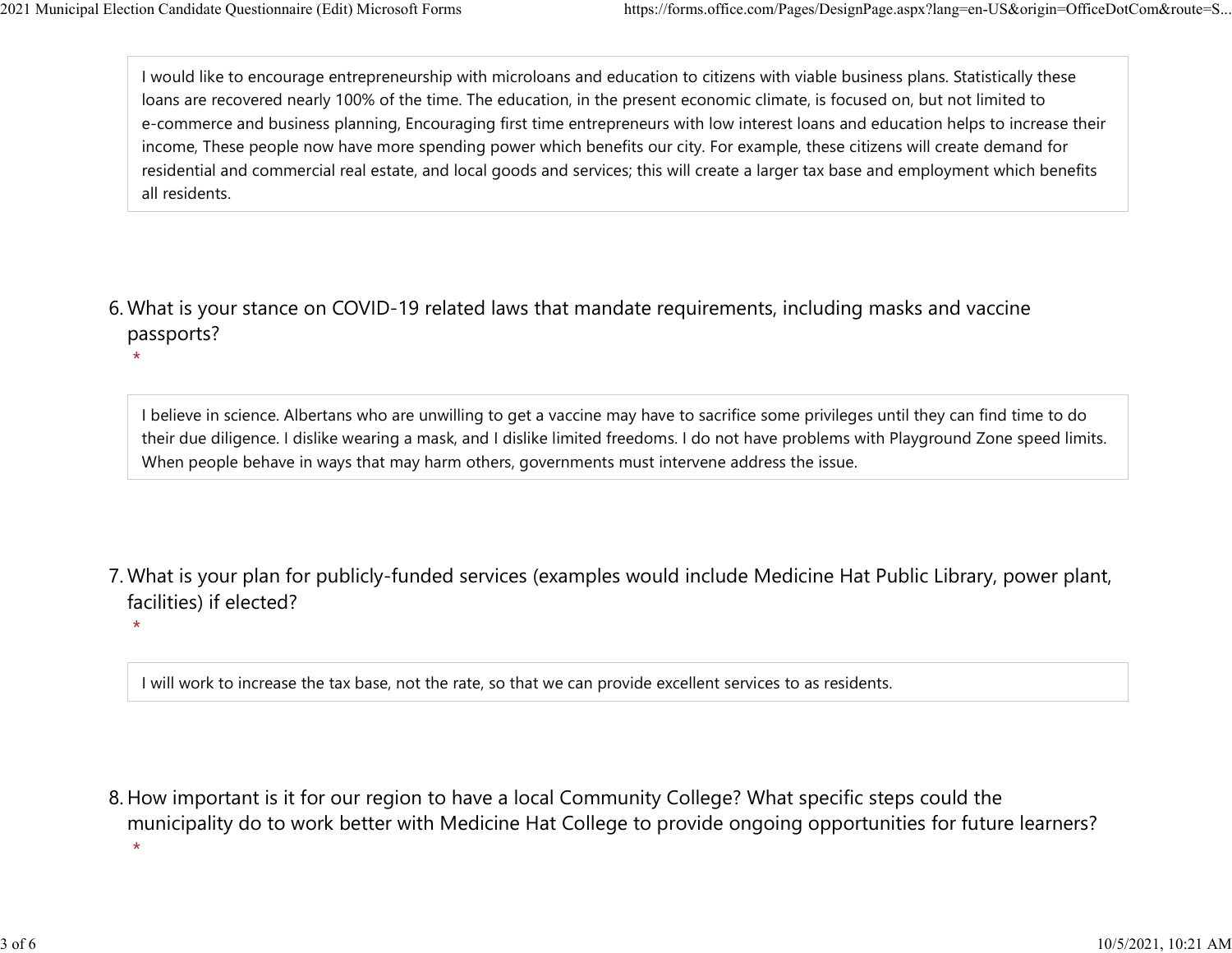\*

\*

I would like to encourage entrepreneurship with microloans and education to citizens with viable business plans. Statistically these loans are recovered nearly 100% of the time. The education, in the present economic climate, is focused on, but not limited to e-commerce and business planning, Encouraging first time entrepreneurs with low interest loans and education helps to increase their income, These people now have more spending power which benefits our city. For example, these citizens will create demand for residential and commercial real estate, and local goods and services; this will create a larger tax base and employment which benefits all residents. 2021 Municipal Election Candidate Questionnaire (Edit) Microsoft Forms https://forms.office.com/Pages/DesignPage.aspx?lang=en-US&origin=OfficeDotCom&route=S...<br>I would like to encourage entrepreneurship with microloans and

What is your stance on COVID-19 related laws that mandate requirements, including masks and vaccine 6. passports?

I believe in science. Albertans who are unwilling to get a vaccine may have to sacrifice some privileges until they can find time to do their due diligence. I dislike wearing a mask, and I dislike limited freedoms. I do not have problems with Playground Zone speed limits. When people behave in ways that may harm others, governments must intervene address the issue.

What is your plan for publicly-funded services (examples would include Medicine Hat Public Library, power plant, 7. facilities) if elected?

I will work to increase the tax base, not the rate, so that we can provide excellent services to as residents.

8. How important is it for our region to have a local Community College? What specific steps could the municipality do to work better with Medicine Hat College to provide ongoing opportunities for future learners?  $\star$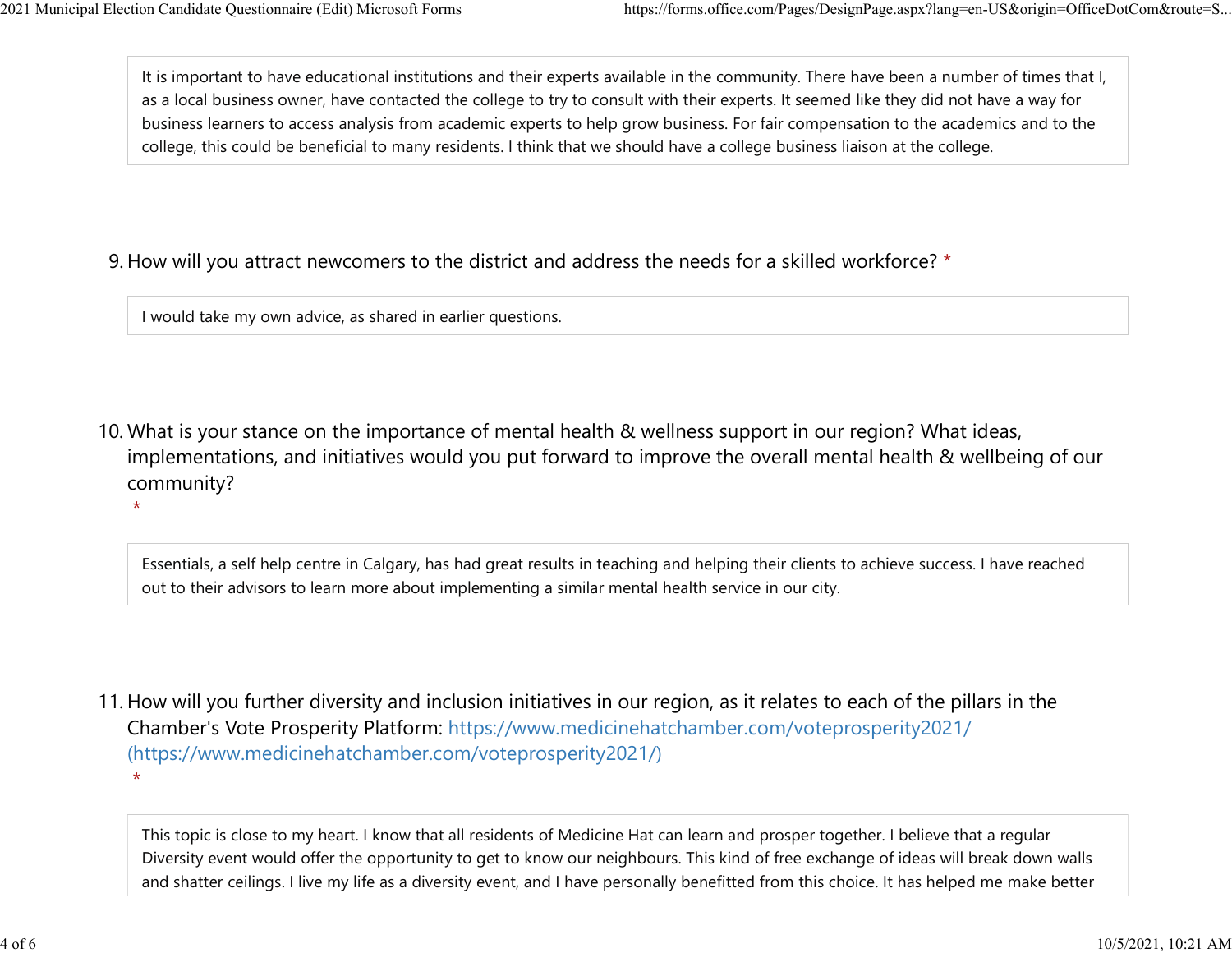$\star$ 

It is important to have educational institutions and their experts available in the community. There have been a number of times that I, as a local business owner, have contacted the college to try to consult with their experts. It seemed like they did not have a way for business learners to access analysis from academic experts to help grow business. For fair compensation to the academics and to the college, this could be beneficial to many residents. I think that we should have a college business liaison at the college. 2021 Municipal Election Candidate Questionnaire (Edit) Microsoft Forms https://forms.office.com/Pages/DesignPage.aspx?lang=en-US&origin=OfficeDotCom&route=S...<br>It is important to have educational institutions and their exp

## 9. How will you attract newcomers to the district and address the needs for a skilled workforce? \*

I would take my own advice, as shared in earlier questions.

10. What is your stance on the importance of mental health & wellness support in our region? What ideas, implementations, and initiatives would you put forward to improve the overall mental health & wellbeing of our community?

Essentials, a self help centre in Calgary, has had great results in teaching and helping their clients to achieve success. I have reached out to their advisors to learn more about implementing a similar mental health service in our city.

11. How will you further diversity and inclusion initiatives in our region, as it relates to each of the pillars in the Chamber's Vote Prosperity Platform: https://www.medicinehatchamber.com/voteprosperity2021/ (https://www.medicinehatchamber.com/voteprosperity2021/)  $\star$ 

This topic is close to my heart. I know that all residents of Medicine Hat can learn and prosper together. I believe that a regular Diversity event would offer the opportunity to get to know our neighbours. This kind of free exchange of ideas will break down walls and shatter ceilings. I live my life as a diversity event, and I have personally benefitted from this choice. It has helped me make better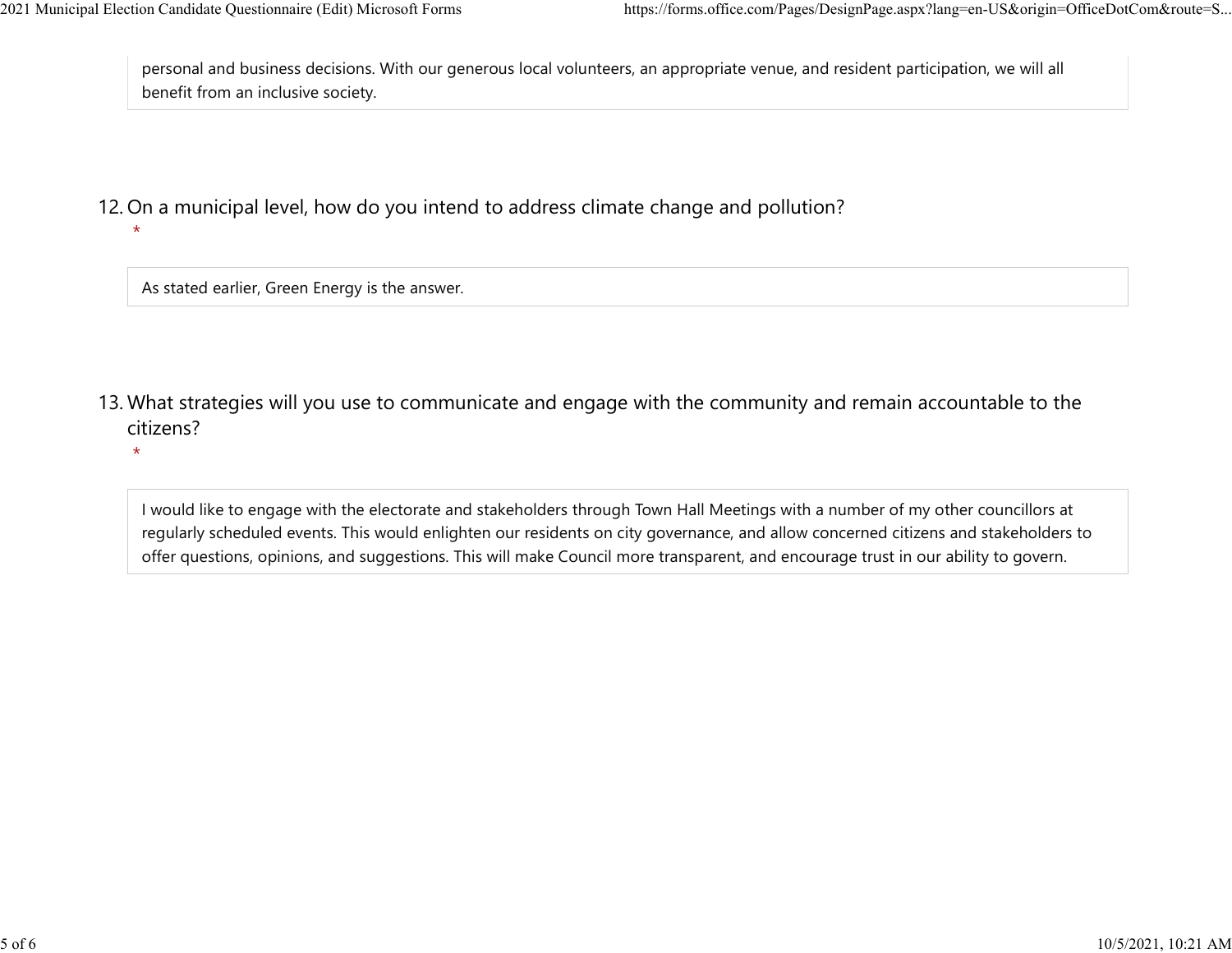\*

personal and business decisions. With our generous local volunteers, an appropriate venue, and resident participation, we will all benefit from an inclusive society. 2021 Municipal Election Candidate Questionnaire (Edit) Microsoft Forms https://forms.office.com/Pages/DesignPage.aspx?lang=en-US&origin=OfficeDotCom&route=S...<br>personal and business decisions. With our generous local volun

12. On a municipal level, how do you intend to address climate change and pollution?

As stated earlier, Green Energy is the answer.

- 13. What strategies will you use to communicate and engage with the community and remain accountable to the citizens?
	- \*

I would like to engage with the electorate and stakeholders through Town Hall Meetings with a number of my other councillors at regularly scheduled events. This would enlighten our residents on city governance, and allow concerned citizens and stakeholders to offer questions, opinions, and suggestions. This will make Council more transparent, and encourage trust in our ability to govern.